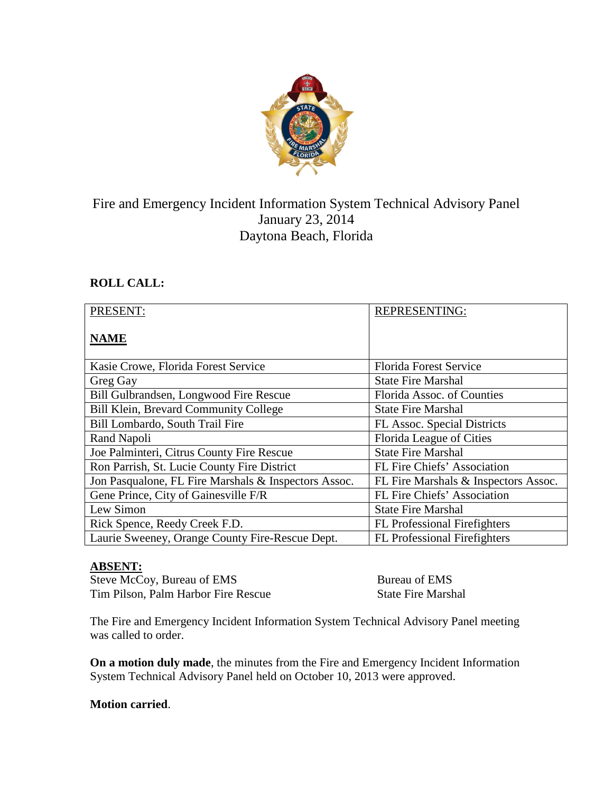

# Fire and Emergency Incident Information System Technical Advisory Panel January 23, 2014 Daytona Beach, Florida

## **ROLL CALL:**

| PRESENT:                                             | <b>REPRESENTING:</b>                 |
|------------------------------------------------------|--------------------------------------|
| <b>NAME</b>                                          |                                      |
| Kasie Crowe, Florida Forest Service                  | <b>Florida Forest Service</b>        |
| Greg Gay                                             | <b>State Fire Marshal</b>            |
| Bill Gulbrandsen, Longwood Fire Rescue               | Florida Assoc. of Counties           |
| <b>Bill Klein, Brevard Community College</b>         | <b>State Fire Marshal</b>            |
| Bill Lombardo, South Trail Fire                      | FL Assoc. Special Districts          |
| Rand Napoli                                          | Florida League of Cities             |
| Joe Palminteri, Citrus County Fire Rescue            | <b>State Fire Marshal</b>            |
| Ron Parrish, St. Lucie County Fire District          | FL Fire Chiefs' Association          |
| Jon Pasqualone, FL Fire Marshals & Inspectors Assoc. | FL Fire Marshals & Inspectors Assoc. |
| Gene Prince, City of Gainesville F/R                 | FL Fire Chiefs' Association          |
| Lew Simon                                            | <b>State Fire Marshal</b>            |
| Rick Spence, Reedy Creek F.D.                        | <b>FL</b> Professional Firefighters  |
| Laurie Sweeney, Orange County Fire-Rescue Dept.      | <b>FL Professional Firefighters</b>  |

# **ABSENT:**

Steve McCoy, Bureau of EMS Bureau of EMS Tim Pilson, Palm Harbor Fire Rescue State Fire Marshal

The Fire and Emergency Incident Information System Technical Advisory Panel meeting was called to order.

**On a motion duly made**, the minutes from the Fire and Emergency Incident Information System Technical Advisory Panel held on October 10, 2013 were approved.

## **Motion carried**.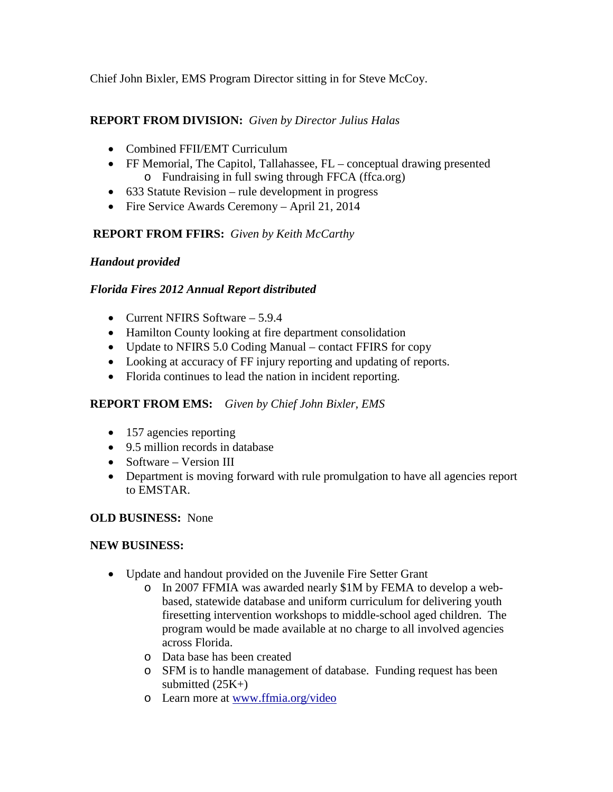Chief John Bixler, EMS Program Director sitting in for Steve McCoy.

## **REPORT FROM DIVISION:** *Given by Director Julius Halas*

- Combined FFII/EMT Curriculum
- FF Memorial, The Capitol, Tallahassee, FL conceptual drawing presented o Fundraising in full swing through FFCA (ffca.org)
- 633 Statute Revision rule development in progress
- Fire Service Awards Ceremony April 21, 2014

## **REPORT FROM FFIRS:** *Given by Keith McCarthy*

## *Handout provided*

## *Florida Fires 2012 Annual Report distributed*

- Current NFIRS Software 5.9.4
- Hamilton County looking at fire department consolidation
- Update to NFIRS 5.0 Coding Manual contact FFIRS for copy
- Looking at accuracy of FF injury reporting and updating of reports.
- Florida continues to lead the nation in incident reporting.

## **REPORT FROM EMS:** *Given by Chief John Bixler, EMS*

- 157 agencies reporting
- 9.5 million records in database
- Software Version III
- Department is moving forward with rule promulgation to have all agencies report to EMSTAR.

## **OLD BUSINESS:** None

#### **NEW BUSINESS:**

- Update and handout provided on the Juvenile Fire Setter Grant
	- o In 2007 FFMIA was awarded nearly \$1M by FEMA to develop a webbased, statewide database and uniform curriculum for delivering youth firesetting intervention workshops to middle-school aged children. The program would be made available at no charge to all involved agencies across Florida.
	- o Data base has been created
	- o SFM is to handle management of database. Funding request has been submitted  $(25K+)$
	- o Learn more at [www.ffmia.org/video](http://www.ffmia.org/video)